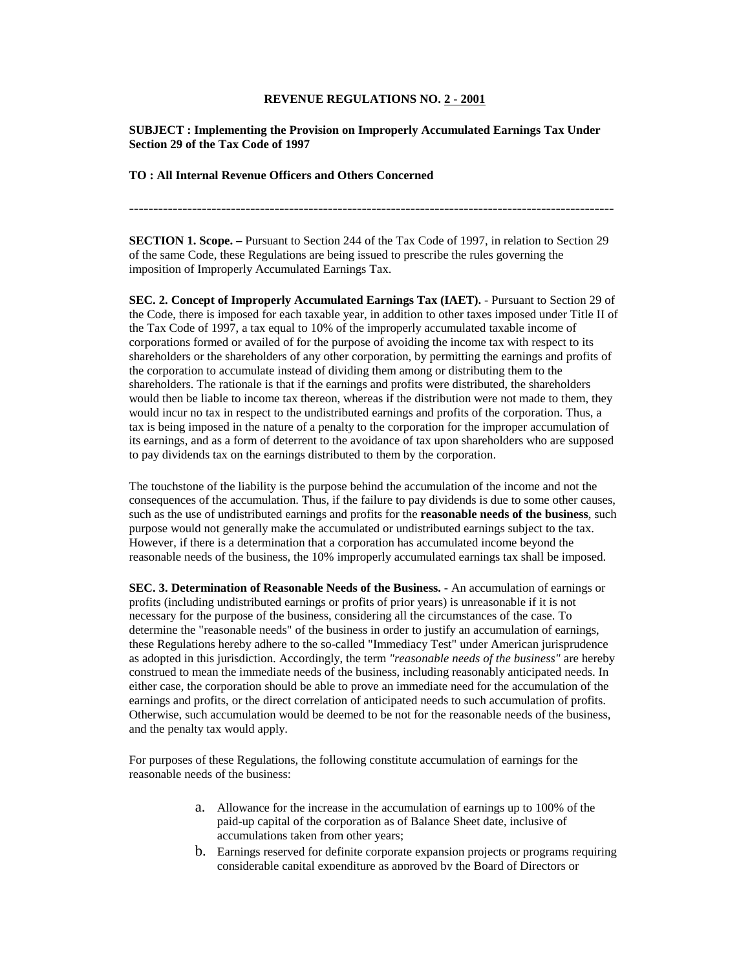## **REVENUE REGULATIONS NO. 2 - 2001**

**SUBJECT : Implementing the Provision on Improperly Accumulated Earnings Tax Under Section 29 of the Tax Code of 1997**

**TO : All Internal Revenue Officers and Others Concerned**

----------------------------------------------------------------------------------------------------

**SECTION 1. Scope. –** Pursuant to Section 244 of the Tax Code of 1997, in relation to Section 29 of the same Code, these Regulations are being issued to prescribe the rules governing the imposition of Improperly Accumulated Earnings Tax.

**SEC. 2. Concept of Improperly Accumulated Earnings Tax (IAET).** - Pursuant to Section 29 of the Code, there is imposed for each taxable year, in addition to other taxes imposed under Title II of the Tax Code of 1997, a tax equal to 10% of the improperly accumulated taxable income of corporations formed or availed of for the purpose of avoiding the income tax with respect to its shareholders or the shareholders of any other corporation, by permitting the earnings and profits of the corporation to accumulate instead of dividing them among or distributing them to the shareholders. The rationale is that if the earnings and profits were distributed, the shareholders would then be liable to income tax thereon, whereas if the distribution were not made to them, they would incur no tax in respect to the undistributed earnings and profits of the corporation. Thus, a tax is being imposed in the nature of a penalty to the corporation for the improper accumulation of its earnings, and as a form of deterrent to the avoidance of tax upon shareholders who are supposed to pay dividends tax on the earnings distributed to them by the corporation.

The touchstone of the liability is the purpose behind the accumulation of the income and not the consequences of the accumulation. Thus, if the failure to pay dividends is due to some other causes, such as the use of undistributed earnings and profits for the **reasonable needs of the business**, such purpose would not generally make the accumulated or undistributed earnings subject to the tax. However, if there is a determination that a corporation has accumulated income beyond the reasonable needs of the business, the 10% improperly accumulated earnings tax shall be imposed.

**SEC. 3. Determination of Reasonable Needs of the Business. -** An accumulation of earnings or profits (including undistributed earnings or profits of prior years) is unreasonable if it is not necessary for the purpose of the business, considering all the circumstances of the case. To determine the "reasonable needs" of the business in order to justify an accumulation of earnings, these Regulations hereby adhere to the so-called "Immediacy Test" under American jurisprudence as adopted in this jurisdiction. Accordingly, the term *"reasonable needs of the business"* are hereby construed to mean the immediate needs of the business, including reasonably anticipated needs. In either case, the corporation should be able to prove an immediate need for the accumulation of the earnings and profits, or the direct correlation of anticipated needs to such accumulation of profits. Otherwise, such accumulation would be deemed to be not for the reasonable needs of the business, and the penalty tax would apply.

For purposes of these Regulations, the following constitute accumulation of earnings for the reasonable needs of the business:

- a. Allowance for the increase in the accumulation of earnings up to 100% of the paid-up capital of the corporation as of Balance Sheet date, inclusive of accumulations taken from other years;
- b. Earnings reserved for definite corporate expansion projects or programs requiring considerable capital expenditure as approved by the Board of Directors or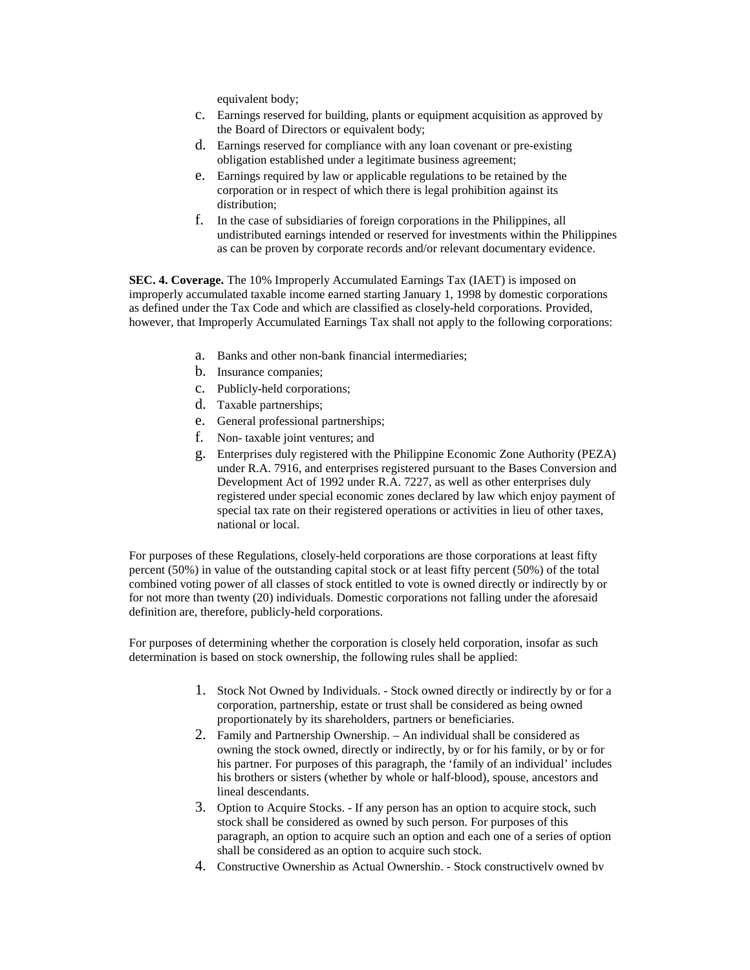equivalent body;

- c. Earnings reserved for building, plants or equipment acquisition as approved by the Board of Directors or equivalent body;
- d. Earnings reserved for compliance with any loan covenant or pre-existing obligation established under a legitimate business agreement;
- e. Earnings required by law or applicable regulations to be retained by the corporation or in respect of which there is legal prohibition against its distribution;
- f. In the case of subsidiaries of foreign corporations in the Philippines, all undistributed earnings intended or reserved for investments within the Philippines as can be proven by corporate records and/or relevant documentary evidence.

**SEC. 4. Coverage.** The 10% Improperly Accumulated Earnings Tax (IAET) is imposed on improperly accumulated taxable income earned starting January 1, 1998 by domestic corporations as defined under the Tax Code and which are classified as closely-held corporations. Provided, however, that Improperly Accumulated Earnings Tax shall not apply to the following corporations:

- a. Banks and other non-bank financial intermediaries;
- b. Insurance companies;
- c. Publicly-held corporations;
- d. Taxable partnerships;
- e. General professional partnerships;
- f. Non- taxable joint ventures; and
- g. Enterprises duly registered with the Philippine Economic Zone Authority (PEZA) under R.A. 7916, and enterprises registered pursuant to the Bases Conversion and Development Act of 1992 under R.A. 7227, as well as other enterprises duly registered under special economic zones declared by law which enjoy payment of special tax rate on their registered operations or activities in lieu of other taxes, national or local.

For purposes of these Regulations, closely-held corporations are those corporations at least fifty percent (50%) in value of the outstanding capital stock or at least fifty percent (50%) of the total combined voting power of all classes of stock entitled to vote is owned directly or indirectly by or for not more than twenty (20) individuals. Domestic corporations not falling under the aforesaid definition are, therefore, publicly-held corporations.

For purposes of determining whether the corporation is closely held corporation, insofar as such determination is based on stock ownership, the following rules shall be applied:

- 1. Stock Not Owned by Individuals. Stock owned directly or indirectly by or for a corporation, partnership, estate or trust shall be considered as being owned proportionately by its shareholders, partners or beneficiaries.
- 2. Family and Partnership Ownership. An individual shall be considered as owning the stock owned, directly or indirectly, by or for his family, or by or for his partner. For purposes of this paragraph, the 'family of an individual' includes his brothers or sisters (whether by whole or half-blood), spouse, ancestors and lineal descendants.
- 3. Option to Acquire Stocks. If any person has an option to acquire stock, such stock shall be considered as owned by such person. For purposes of this paragraph, an option to acquire such an option and each one of a series of option shall be considered as an option to acquire such stock.
- 4. Constructive Ownership as Actual Ownership. Stock constructively owned by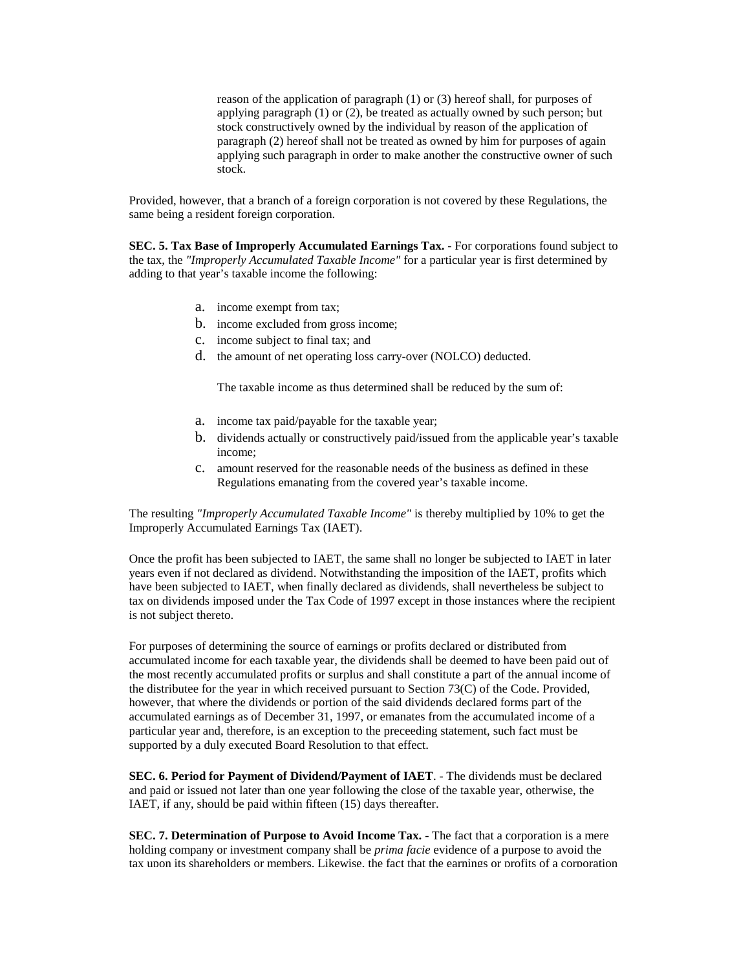reason of the application of paragraph (1) or (3) hereof shall, for purposes of applying paragraph (1) or (2), be treated as actually owned by such person; but stock constructively owned by the individual by reason of the application of paragraph (2) hereof shall not be treated as owned by him for purposes of again applying such paragraph in order to make another the constructive owner of such stock.

Provided, however, that a branch of a foreign corporation is not covered by these Regulations, the same being a resident foreign corporation.

**SEC. 5. Tax Base of Improperly Accumulated Earnings Tax.** - For corporations found subject to the tax, the *"Improperly Accumulated Taxable Income"* for a particular year is first determined by adding to that year's taxable income the following:

- a. income exempt from tax;
- b. income excluded from gross income;
- c. income subject to final tax; and
- d. the amount of net operating loss carry-over (NOLCO) deducted.

The taxable income as thus determined shall be reduced by the sum of:

- a. income tax paid/payable for the taxable year;
- b. dividends actually or constructively paid/issued from the applicable year's taxable income;
- c. amount reserved for the reasonable needs of the business as defined in these Regulations emanating from the covered year's taxable income.

The resulting *"Improperly Accumulated Taxable Income"* is thereby multiplied by 10% to get the Improperly Accumulated Earnings Tax (IAET).

Once the profit has been subjected to IAET, the same shall no longer be subjected to IAET in later years even if not declared as dividend. Notwithstanding the imposition of the IAET, profits which have been subjected to IAET, when finally declared as dividends, shall nevertheless be subject to tax on dividends imposed under the Tax Code of 1997 except in those instances where the recipient is not subject thereto.

For purposes of determining the source of earnings or profits declared or distributed from accumulated income for each taxable year, the dividends shall be deemed to have been paid out of the most recently accumulated profits or surplus and shall constitute a part of the annual income of the distributee for the year in which received pursuant to Section 73(C) of the Code. Provided, however, that where the dividends or portion of the said dividends declared forms part of the accumulated earnings as of December 31, 1997, or emanates from the accumulated income of a particular year and, therefore, is an exception to the preceeding statement, such fact must be supported by a duly executed Board Resolution to that effect.

**SEC. 6. Period for Payment of Dividend/Payment of IAET**. - The dividends must be declared and paid or issued not later than one year following the close of the taxable year, otherwise, the IAET, if any, should be paid within fifteen (15) days thereafter.

**SEC. 7. Determination of Purpose to Avoid Income Tax.** - The fact that a corporation is a mere holding company or investment company shall be *prima facie* evidence of a purpose to avoid the tax upon its shareholders or members. Likewise, the fact that the earnings or profits of a corporation